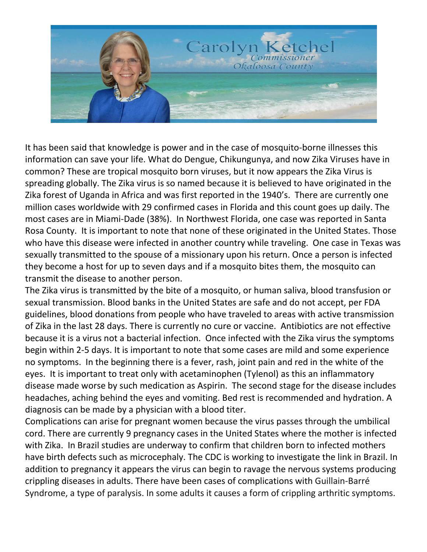

It has been said that knowledge is power and in the case of mosquito-borne illnesses this information can save your life. What do Dengue, Chikungunya, and now Zika Viruses have in common? These are tropical mosquito born viruses, but it now appears the Zika Virus is spreading globally. The Zika virus is so named because it is believed to have originated in the Zika forest of Uganda in Africa and was first reported in the 1940's. There are currently one million cases worldwide with 29 confirmed cases in Florida and this count goes up daily. The most cases are in Miami-Dade (38%). In Northwest Florida, one case was reported in Santa Rosa County. It is important to note that none of these originated in the United States. Those who have this disease were infected in another country while traveling. One case in Texas was sexually transmitted to the spouse of a missionary upon his return. Once a person is infected they become a host for up to seven days and if a mosquito bites them, the mosquito can transmit the disease to another person.

The Zika virus is transmitted by the bite of a mosquito, or human saliva, blood transfusion or sexual transmission. Blood banks in the United States are safe and do not accept, per FDA guidelines, blood donations from people who have traveled to areas with active transmission of Zika in the last 28 days. There is currently no cure or vaccine. Antibiotics are not effective because it is a virus not a bacterial infection. Once infected with the Zika virus the symptoms begin within 2-5 days. It is important to note that some cases are mild and some experience no symptoms. In the beginning there is a fever, rash, joint pain and red in the white of the eyes. It is important to treat only with acetaminophen (Tylenol) as this an inflammatory disease made worse by such medication as Aspirin. The second stage for the disease includes headaches, aching behind the eyes and vomiting. Bed rest is recommended and hydration. A diagnosis can be made by a physician with a blood titer.

Complications can arise for pregnant women because the virus passes through the umbilical cord. There are currently 9 pregnancy cases in the United States where the mother is infected with Zika. In Brazil studies are underway to confirm that children born to infected mothers have birth defects such as microcephaly. The CDC is working to investigate the link in Brazil. In addition to pregnancy it appears the virus can begin to ravage the nervous systems producing crippling diseases in adults. There have been cases of complications with Guillain-Barré Syndrome, a type of paralysis. In some adults it causes a form of crippling arthritic symptoms.